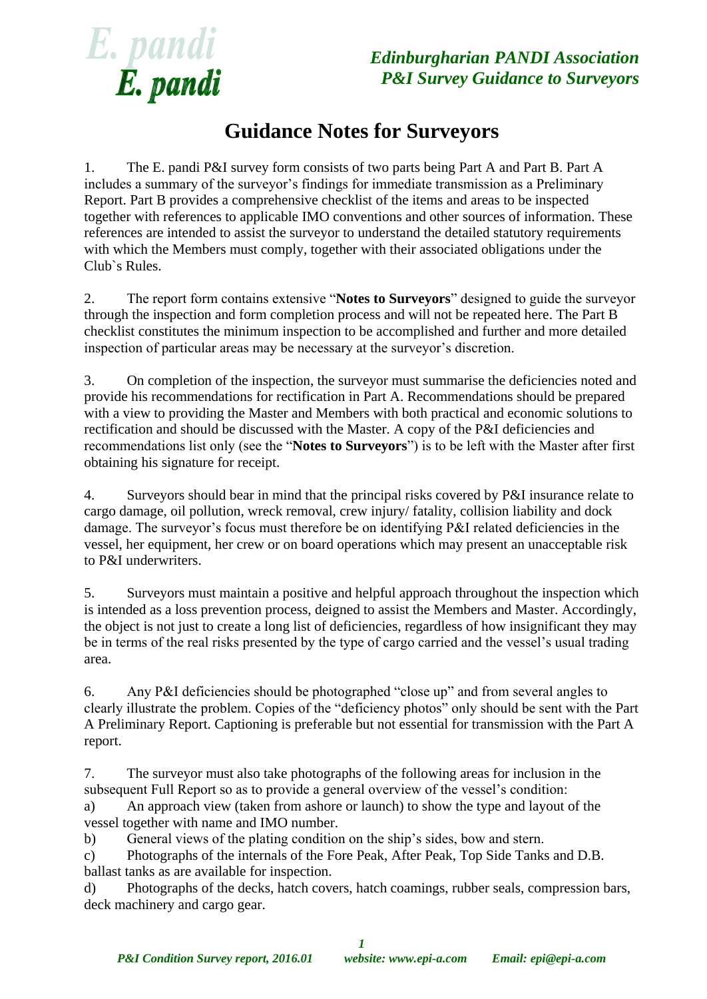

*Edinburgharian PANDI Association P&I Survey Guidance to Surveyors*

## **Guidance Notes for Surveyors**

1. The E. pandi P&I survey form consists of two parts being Part A and Part B. Part A includes a summary of the surveyor's findings for immediate transmission as a Preliminary Report. Part B provides a comprehensive checklist of the items and areas to be inspected together with references to applicable IMO conventions and other sources of information. These references are intended to assist the surveyor to understand the detailed statutory requirements with which the Members must comply, together with their associated obligations under the Club`s Rules.

2. The report form contains extensive "**Notes to Surveyors**" designed to guide the surveyor through the inspection and form completion process and will not be repeated here. The Part B checklist constitutes the minimum inspection to be accomplished and further and more detailed inspection of particular areas may be necessary at the surveyor's discretion.

3. On completion of the inspection, the surveyor must summarise the deficiencies noted and provide his recommendations for rectification in Part A. Recommendations should be prepared with a view to providing the Master and Members with both practical and economic solutions to rectification and should be discussed with the Master. A copy of the P&I deficiencies and recommendations list only (see the "**Notes to Surveyors**") is to be left with the Master after first obtaining his signature for receipt.

4. Surveyors should bear in mind that the principal risks covered by P&I insurance relate to cargo damage, oil pollution, wreck removal, crew injury/ fatality, collision liability and dock damage. The surveyor's focus must therefore be on identifying P&I related deficiencies in the vessel, her equipment, her crew or on board operations which may present an unacceptable risk to P&I underwriters.

5. Surveyors must maintain a positive and helpful approach throughout the inspection which is intended as a loss prevention process, deigned to assist the Members and Master. Accordingly, the object is not just to create a long list of deficiencies, regardless of how insignificant they may be in terms of the real risks presented by the type of cargo carried and the vessel's usual trading area.

6. Any P&I deficiencies should be photographed "close up" and from several angles to clearly illustrate the problem. Copies of the "deficiency photos" only should be sent with the Part A Preliminary Report. Captioning is preferable but not essential for transmission with the Part A report.

7. The surveyor must also take photographs of the following areas for inclusion in the subsequent Full Report so as to provide a general overview of the vessel's condition:

a) An approach view (taken from ashore or launch) to show the type and layout of the vessel together with name and IMO number.

b) General views of the plating condition on the ship's sides, bow and stern.

c) Photographs of the internals of the Fore Peak, After Peak, Top Side Tanks and D.B. ballast tanks as are available for inspection.

d) Photographs of the decks, hatch covers, hatch coamings, rubber seals, compression bars, deck machinery and cargo gear.